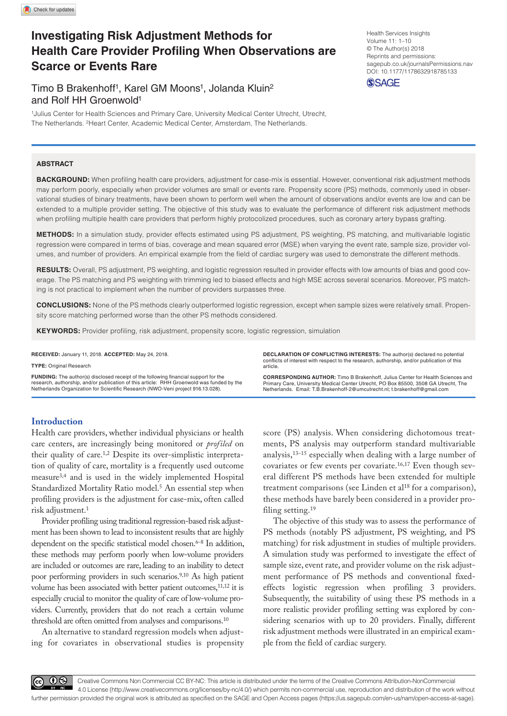# **Investigating Risk Adjustment Methods for Health Care Provider Profiling When Observations are Scarce or Events Rare**

## Timo B Brakenhoff<sup>1</sup>, Karel GM Moons<sup>1</sup>, Jolanda Kluin<sup>2</sup> and Rolf HH Groenwold1

1Julius Center for Health Sciences and Primary Care, University Medical Center Utrecht, Utrecht, The Netherlands. 2Heart Center, Academic Medical Center, Amsterdam, The Netherlands.

## **ABSTRACT**

**Background:** When profiling health care providers, adjustment for case-mix is essential. However, conventional risk adjustment methods may perform poorly, especially when provider volumes are small or events rare. Propensity score (PS) methods, commonly used in observational studies of binary treatments, have been shown to perform well when the amount of observations and/or events are low and can be extended to a multiple provider setting. The objective of this study was to evaluate the performance of different risk adjustment methods when profiling multiple health care providers that perform highly protocolized procedures, such as coronary artery bypass grafting.

**Methods:** In a simulation study, provider effects estimated using PS adjustment, PS weighting, PS matching, and multivariable logistic regression were compared in terms of bias, coverage and mean squared error (MSE) when varying the event rate, sample size, provider volumes, and number of providers. An empirical example from the field of cardiac surgery was used to demonstrate the different methods.

RESULTS: Overall, PS adjustment, PS weighting, and logistic regression resulted in provider effects with low amounts of bias and good coverage. The PS matching and PS weighting with trimming led to biased effects and high MSE across several scenarios. Moreover, PS matching is not practical to implement when the number of providers surpasses three.

**Conclusions:** None of the PS methods clearly outperformed logistic regression, except when sample sizes were relatively small. Propensity score matching performed worse than the other PS methods considered.

**KEYWORDS:** Provider profiling, risk adjustment, propensity score, logistic regression, simulation

**RECEIVED:** January 11, 2018. **ACCEPTED:** May 24, 2018.

**Type:** Original Research

**Funding:** The author(s) disclosed receipt of the following financial support for the research, authorship, and/or publication of this article: RHH Groenwold was funded by the Netherlands Organization for Scientific Research (NWO-Veni project 916.13.028).

**Declaration of conflicting interests:** The author(s) declared no potential conflicts of interest with respect to the research, authorship, and/or publication of this article.

**CORRESPONDING AUTHOR:** Timo B Brakenhoff, Julius Center for Health Sciences and Primary Care, University Medical Center Utrecht, PO Box 85500, 3508 GA Utrecht, The Netherlands. Email: T.B.Brakenhoff-2@umcutrecht.nl; t.brakenhoff@gmail.com

## **Introduction**

Health care providers, whether individual physicians or health care centers, are increasingly being monitored or *profiled* on their quality of care.1,2 Despite its over-simplistic interpretation of quality of care, mortality is a frequently used outcome measure3,4 and is used in the widely implemented Hospital Standardized Mortality Ratio model.<sup>5</sup> An essential step when profiling providers is the adjustment for case-mix, often called risk adjustment.1

Provider profiling using traditional regression-based risk adjustment has been shown to lead to inconsistent results that are highly dependent on the specific statistical model chosen.<sup>6–8</sup> In addition, these methods may perform poorly when low-volume providers are included or outcomes are rare, leading to an inability to detect poor performing providers in such scenarios.9,10 As high patient volume has been associated with better patient outcomes,<sup>11,12</sup> it is especially crucial to monitor the quality of care of low-volume providers. Currently, providers that do not reach a certain volume threshold are often omitted from analyses and comparisons.<sup>10</sup>

An alternative to standard regression models when adjusting for covariates in observational studies is propensity score (PS) analysis. When considering dichotomous treatments, PS analysis may outperform standard multivariable analysis,13–15 especially when dealing with a large number of covariates or few events per covariate.16,17 Even though several different PS methods have been extended for multiple treatment comparisons (see Linden et al<sup>18</sup> for a comparison), these methods have barely been considered in a provider profiling setting.<sup>19</sup>

The objective of this study was to assess the performance of PS methods (notably PS adjustment, PS weighting, and PS matching) for risk adjustment in studies of multiple providers. A simulation study was performed to investigate the effect of sample size, event rate, and provider volume on the risk adjustment performance of PS methods and conventional fixedeffects logistic regression when profiling 3 providers. Subsequently, the suitability of using these PS methods in a more realistic provider profiling setting was explored by considering scenarios with up to 20 providers. Finally, different risk adjustment methods were illustrated in an empirical example from the field of cardiac surgery.

Health Services Insights Volume 11: 1–10 © The Author(s) 2018 Reprints and permissions: [sagepub.co.uk/journalsPermissions.nav](https://uk.sagepub.com/en-gb/journals-permissions) DOI: 10.1177/1178632918785133 **SSAGE** 

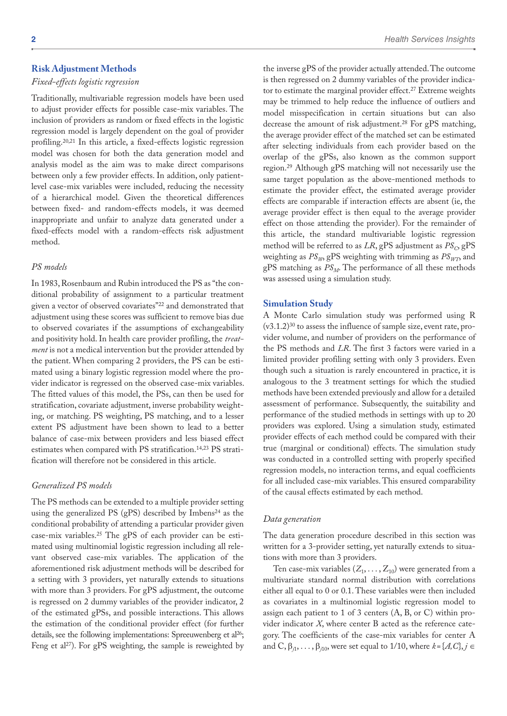## **Risk Adjustment Methods**

#### *Fixed-effects logistic regression*

Traditionally, multivariable regression models have been used to adjust provider effects for possible case-mix variables. The inclusion of providers as random or fixed effects in the logistic regression model is largely dependent on the goal of provider profiling.20,21 In this article, a fixed-effects logistic regression model was chosen for both the data generation model and analysis model as the aim was to make direct comparisons between only a few provider effects. In addition, only patientlevel case-mix variables were included, reducing the necessity of a hierarchical model. Given the theoretical differences between fixed- and random-effects models, it was deemed inappropriate and unfair to analyze data generated under a fixed-effects model with a random-effects risk adjustment method.

#### *PS models*

In 1983, Rosenbaum and Rubin introduced the PS as "the conditional probability of assignment to a particular treatment given a vector of observed covariates"22 and demonstrated that adjustment using these scores was sufficient to remove bias due to observed covariates if the assumptions of exchangeability and positivity hold. In health care provider profiling, the *treatment* is not a medical intervention but the provider attended by the patient. When comparing 2 providers, the PS can be estimated using a binary logistic regression model where the provider indicator is regressed on the observed case-mix variables. The fitted values of this model, the PSs, can then be used for stratification, covariate adjustment, inverse probability weighting, or matching. PS weighting, PS matching, and to a lesser extent PS adjustment have been shown to lead to a better balance of case-mix between providers and less biased effect estimates when compared with PS stratification.<sup>14,23</sup> PS stratification will therefore not be considered in this article.

## *Generalized PS models*

The PS methods can be extended to a multiple provider setting using the generalized PS (gPS) described by Imbens<sup>24</sup> as the conditional probability of attending a particular provider given case-mix variables.25 The gPS of each provider can be estimated using multinomial logistic regression including all relevant observed case-mix variables. The application of the aforementioned risk adjustment methods will be described for a setting with 3 providers, yet naturally extends to situations with more than 3 providers. For gPS adjustment, the outcome is regressed on 2 dummy variables of the provider indicator, 2 of the estimated gPSs, and possible interactions. This allows the estimation of the conditional provider effect (for further details, see the following implementations: Spreeuwenberg et al<sup>26</sup>; Feng et al<sup>27</sup>). For gPS weighting, the sample is reweighted by

the inverse gPS of the provider actually attended. The outcome is then regressed on 2 dummy variables of the provider indicator to estimate the marginal provider effect.<sup>27</sup> Extreme weights may be trimmed to help reduce the influence of outliers and model misspecification in certain situations but can also decrease the amount of risk adjustment.28 For gPS matching, the average provider effect of the matched set can be estimated after selecting individuals from each provider based on the overlap of the gPSs, also known as the common support region.29 Although gPS matching will not necessarily use the same target population as the above-mentioned methods to estimate the provider effect, the estimated average provider effects are comparable if interaction effects are absent (ie, the average provider effect is then equal to the average provider effect on those attending the provider). For the remainder of this article, the standard multivariable logistic regression method will be referred to as *LR*, gPS adjustment as  $PS_C$ , gPS weighting as  $PS_{W}$ , gPS weighting with trimming as  $PS_{W}$  and gPS matching as  $PS_M$ . The performance of all these methods was assessed using a simulation study.

## **Simulation Study**

A Monte Carlo simulation study was performed using R (v3.1.2)30 to assess the influence of sample size, event rate, provider volume, and number of providers on the performance of the PS methods and *LR*. The first 3 factors were varied in a limited provider profiling setting with only 3 providers. Even though such a situation is rarely encountered in practice, it is analogous to the 3 treatment settings for which the studied methods have been extended previously and allow for a detailed assessment of performance. Subsequently, the suitability and performance of the studied methods in settings with up to 20 providers was explored. Using a simulation study, estimated provider effects of each method could be compared with their true (marginal or conditional) effects. The simulation study was conducted in a controlled setting with properly specified regression models, no interaction terms, and equal coefficients for all included case-mix variables. This ensured comparability of the causal effects estimated by each method.

#### *Data generation*

The data generation procedure described in this section was written for a 3-provider setting, yet naturally extends to situations with more than 3 providers.

Ten case-mix variables  $(Z_1, \ldots, Z_{10})$  were generated from a multivariate standard normal distribution with correlations either all equal to 0 or 0.1. These variables were then included as covariates in a multinomial logistic regression model to assign each patient to 1 of 3 centers (A, B, or C) within provider indicator *X*, where center B acted as the reference category. The coefficients of the case-mix variables for center A and  $C, \beta_{i1}, \ldots, \beta_{i10}$ , were set equal to 1/10, where  $k = \{A, C\}, j \in$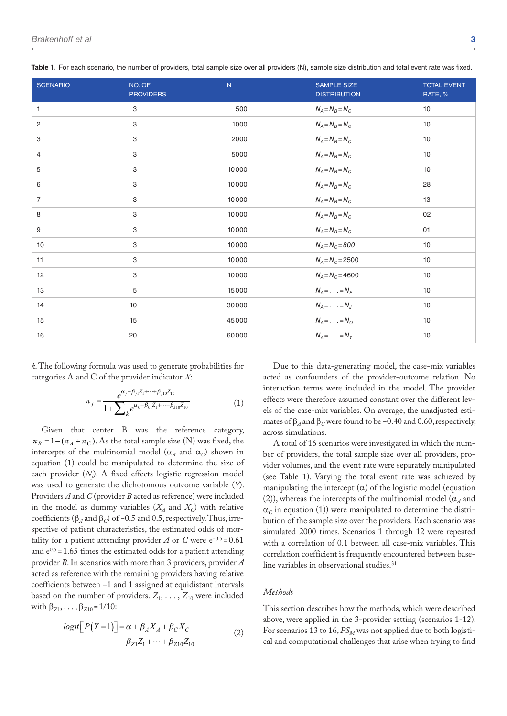| <b>SCENARIO</b> | NO. OF<br><b>PROVIDERS</b> | N.    | <b>SAMPLE SIZE</b><br><b>DISTRIBUTION</b> | <b>TOTAL EVENT</b><br>RATE, % |
|-----------------|----------------------------|-------|-------------------------------------------|-------------------------------|
| 1               | $\ensuremath{\mathsf{3}}$  | 500   | $N_A = N_B = N_C$                         | 10                            |
| $\overline{2}$  | 3                          | 1000  | $N_A = N_B = N_C$                         | 10                            |
| 3               | 3                          | 2000  | $N_A = N_B = N_C$                         | 10                            |
| 4               | 3                          | 5000  | $N_A = N_B = N_C$                         | 10                            |
| 5               | $\ensuremath{\mathsf{3}}$  | 10000 | $N_A = N_B = N_C$                         | 10                            |
| 6               | $\ensuremath{\mathsf{3}}$  | 10000 | $N_A = N_B = N_C$                         | 28                            |
| $\overline{7}$  | $\ensuremath{\mathsf{3}}$  | 10000 | $N_A = N_B = N_C$                         | 13                            |
| 8               | 3                          | 10000 | $N_A = N_B = N_C$                         | 02                            |
| 9               | $\ensuremath{\mathsf{3}}$  | 10000 | $N_A = N_B = N_C$                         | 01                            |
| 10              | $\ensuremath{\mathsf{3}}$  | 10000 | $N_A = N_C = 800$                         | 10                            |
| 11              | 3                          | 10000 | $N_A = N_C = 2500$                        | 10                            |
| 12              | $\ensuremath{\mathsf{3}}$  | 10000 | $N_A = N_C = 4600$                        | 10                            |
| 13              | $\sqrt{5}$                 | 15000 | $N_A = \ldots = N_F$                      | 10                            |
| 14              | 10                         | 30000 | $N_A = \ldots = N_J$                      | 10                            |
| 15              | 15                         | 45000 | $N_A = \ldots = N_O$                      | 10                            |
| 16              | 20                         | 60000 | $N_A = \ldots = N_T$                      | 10                            |

**Table 1.** For each scenario, the number of providers, total sample size over all providers (N), sample size distribution and total event rate was fixed.

*k*. The following formula was used to generate probabilities for categories A and C of the provider indicator *X*:

$$
\pi_j = \frac{e^{\alpha_j + \beta_{j1} Z_1 + \dots + \beta_{j10} Z_{10}}}{1 + \sum_k e^{\alpha_k + \beta_{k1} Z_1 + \dots + \beta_{k10} Z_{10}}} \tag{1}
$$

Given that center B was the reference category,  $\pi_B = 1 - (\pi_A + \pi_C)$ . As the total sample size (N) was fixed, the intercepts of the multinomial model ( $\alpha_A$  and  $\alpha_C$ ) shown in equation (1) could be manipulated to determine the size of each provider (*Nj* ). A fixed-effects logistic regression model was used to generate the dichotomous outcome variable (*Y*). Providers *A* and *C* (provider *B* acted as reference) were included in the model as dummy variables  $(X_A \text{ and } X_C)$  with relative coefficients ( $\beta_A$  and  $\beta_C$ ) of -0.5 and 0.5, respectively. Thus, irrespective of patient characteristics, the estimated odds of mortality for a patient attending provider  $A$  or  $C$  were  $e^{-0.5} = 0.61$ and  $e^{0.5}$  = 1.65 times the estimated odds for a patient attending provider *B*. In scenarios with more than 3 providers, provider *A* acted as reference with the remaining providers having relative coefficients between −1 and 1 assigned at equidistant intervals based on the number of providers.  $Z_1, \ldots, Z_{10}$  were included with  $β_{Z1}, \ldots, β_{Z10} = 1/10$ :

$$
logit\left[P(Y=1)\right] = \alpha + \beta_A X_A + \beta_C X_C +
$$
  
\n
$$
\beta_{Z1} Z_1 + \dots + \beta_{Z10} Z_{10}
$$
\n(2)

Due to this data-generating model, the case-mix variables acted as confounders of the provider-outcome relation. No interaction terms were included in the model. The provider effects were therefore assumed constant over the different levels of the case-mix variables. On average, the unadjusted estimates of  $\beta_A$  and  $\beta_C$  were found to be –0.40 and 0.60, respectively, across simulations.

A total of 16 scenarios were investigated in which the number of providers, the total sample size over all providers, provider volumes, and the event rate were separately manipulated (see Table 1). Varying the total event rate was achieved by manipulating the intercept  $(\alpha)$  of the logistic model (equation (2)), whereas the intercepts of the multinomial model ( $\alpha_A$  and  $\alpha_c$  in equation (1)) were manipulated to determine the distribution of the sample size over the providers. Each scenario was simulated 2000 times. Scenarios 1 through 12 were repeated with a correlation of 0.1 between all case-mix variables. This correlation coefficient is frequently encountered between baseline variables in observational studies.31

## *Methods*

This section describes how the methods, which were described above, were applied in the 3-provider setting (scenarios 1-12). For scenarios 13 to 16,  $PS_M$  was not applied due to both logistical and computational challenges that arise when trying to find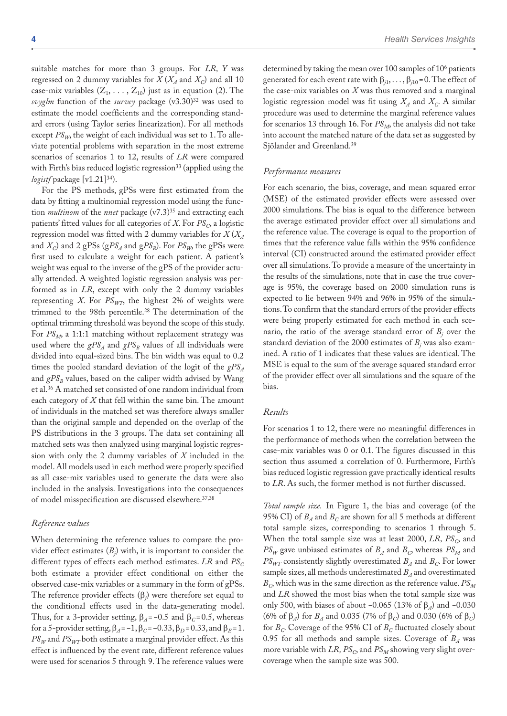suitable matches for more than 3 groups. For *LR, Y* was regressed on 2 dummy variables for  $X(X_A \text{ and } X_C)$  and all 10 case-mix variables  $(Z_1, \ldots, Z_{10})$  just as in equation (2). The *svyglm* function of the *survey* package (v3.30)32 was used to estimate the model coefficients and the corresponding standard errors (using Taylor series linearization). For all methods except  $PS_{W}$ , the weight of each individual was set to 1. To alleviate potential problems with separation in the most extreme scenarios of scenarios 1 to 12, results of *LR* were compared with Firth's bias reduced logistic regression<sup>33</sup> (applied using the *logistf* package [v1.21]34).

For the PS methods, gPSs were first estimated from the data by fitting a multinomial regression model using the function *multinom* of the *nnet* package (v7.3)<sup>35</sup> and extracting each patients' fitted values for all categories of *X*. For  $PS<sub>C</sub>$  a logistic regression model was fitted with 2 dummy variables for *X* (*XA* and  $X_C$ ) and 2 gPSs (gPS<sub>A</sub> and gPS<sub>B</sub>). For  $PS_W$ , the gPSs were first used to calculate a weight for each patient. A patient's weight was equal to the inverse of the gPS of the provider actually attended. A weighted logistic regression analysis was performed as in *LR*, except with only the 2 dummy variables representing *X*. For  $PS_{WT}$ , the highest 2% of weights were trimmed to the 98th percentile.28 The determination of the optimal trimming threshold was beyond the scope of this study. For  $PS_M$ , a 1:1:1 matching without replacement strategy was used where the  $gPS_A$  and  $gPS_B$  values of all individuals were divided into equal-sized bins. The bin width was equal to 0.2 times the pooled standard deviation of the logit of the  $gPS_A$ and  $gPS<sub>B</sub>$  values, based on the caliper width advised by Wang et al.36 A matched set consisted of one random individual from each category of *X* that fell within the same bin. The amount of individuals in the matched set was therefore always smaller than the original sample and depended on the overlap of the PS distributions in the 3 groups. The data set containing all matched sets was then analyzed using marginal logistic regression with only the 2 dummy variables of *X* included in the model. All models used in each method were properly specified as all case-mix variables used to generate the data were also included in the analysis. Investigations into the consequences of model misspecification are discussed elsewhere.37,38

#### *Reference values*

When determining the reference values to compare the provider effect estimates (*Bj* ) with, it is important to consider the different types of effects each method estimates. *LR* and  $PS<sub>C</sub>$ both estimate a provider effect conditional on either the observed case-mix variables or a summary in the form of gPSs. The reference provider effects (β*<sup>j</sup>* ) were therefore set equal to the conditional effects used in the data-generating model. Thus, for a 3-provider setting,  $\beta_A = -0.5$  and  $\beta_C = 0.5$ , whereas for a 5-provider setting,  $β_A = -1$ ,  $β_C = -0.33$ ,  $β_D = 0.33$ , and  $β_E = 1$ .  $PS_W$  and  $PS_{WT}$  both estimate a marginal provider effect. As this effect is influenced by the event rate, different reference values were used for scenarios 5 through 9. The reference values were

determined by taking the mean over 100 samples of 10<sup>6</sup> patients generated for each event rate with  $β_{i1}, \ldots, β_{i10} = 0$ . The effect of the case-mix variables on *X* was thus removed and a marginal logistic regression model was fit using  $X_A$  and  $X_C$ . A similar procedure was used to determine the marginal reference values for scenarios 13 through 16. For  $PS_M$ , the analysis did not take into account the matched nature of the data set as suggested by Sjölander and Greenland.39

## *Performance measures*

For each scenario, the bias, coverage, and mean squared error (MSE) of the estimated provider effects were assessed over 2000 simulations. The bias is equal to the difference between the average estimated provider effect over all simulations and the reference value. The coverage is equal to the proportion of times that the reference value falls within the 95% confidence interval (CI) constructed around the estimated provider effect over all simulations. To provide a measure of the uncertainty in the results of the simulations, note that in case the true coverage is 95%, the coverage based on 2000 simulation runs is expected to lie between 94% and 96% in 95% of the simulations. To confirm that the standard errors of the provider effects were being properly estimated for each method in each scenario, the ratio of the average standard error of  $B_j$  over the standard deviation of the 2000 estimates of  $B_j$  was also examined. A ratio of 1 indicates that these values are identical. The MSE is equal to the sum of the average squared standard error of the provider effect over all simulations and the square of the bias.

#### *Results*

For scenarios 1 to 12, there were no meaningful differences in the performance of methods when the correlation between the case-mix variables was 0 or 0.1. The figures discussed in this section thus assumed a correlation of 0. Furthermore, Firth's bias reduced logistic regression gave practically identical results to *LR*. As such, the former method is not further discussed.

*Total sample size.* In Figure 1, the bias and coverage (of the 95% CI) of  $B_A$  and  $B_C$  are shown for all 5 methods at different total sample sizes, corresponding to scenarios 1 through 5. When the total sample size was at least 2000, *LR*, *PS<sub>C</sub>*, and  $PS_W$  gave unbiased estimates of  $B_A$  and  $B_C$ , whereas  $PS_M$  and  $PS<sub>WT</sub>$  consistently slightly overestimated  $B<sub>A</sub>$  and  $B<sub>C</sub>$ . For lower sample sizes, all methods underestimated  $B_A$  and overestimated  $B<sub>C</sub>$ , which was in the same direction as the reference value.  $PS<sub>M</sub>$ and *LR* showed the most bias when the total sample size was only 500, with biases of about −0.065 (13% of β*A*) and −0.030 (6% of β*A*) for *BA* and 0.035 (7% of β*C*) and 0.030 (6% of β*C*) for  $B_C$ . Coverage of the 95% CI of  $B_C$  fluctuated closely about 0.95 for all methods and sample sizes. Coverage of  $B_A$  was more variable with  $LR$ ,  $PS<sub>C</sub>$ , and  $PS<sub>M</sub>$  showing very slight overcoverage when the sample size was 500.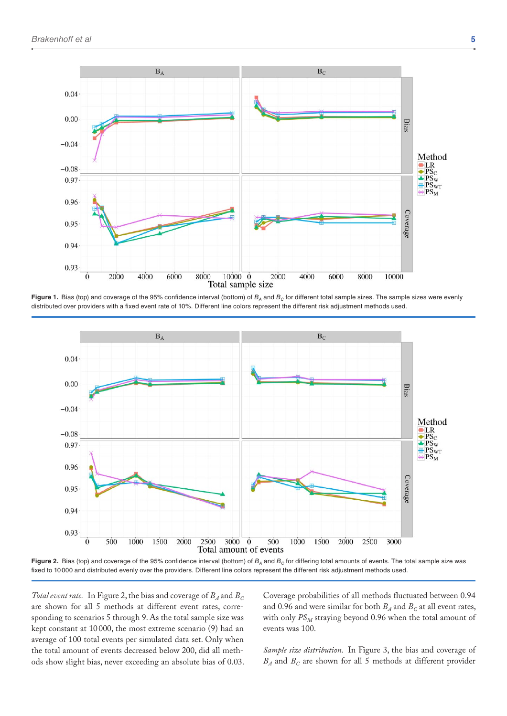

Figure 1. Bias (top) and coverage of the 95% confidence interval (bottom) of  $B_A$  and  $B_C$  for different total sample sizes. The sample sizes were evenly distributed over providers with a fixed event rate of 10%. Different line colors represent the different risk adjustment methods used.



**Figure 2.** Bias (top) and coverage of the 95% confidence interval (bottom) of  $B_A$  and  $B_C$  for differing total amounts of events. The total sample size was fixed to 10000 and distributed evenly over the providers. Different line colors represent the different risk adjustment methods used.

*Total event rate.* In Figure 2, the bias and coverage of  $B_A$  and  $B_C$ are shown for all 5 methods at different event rates, corresponding to scenarios 5 through 9. As the total sample size was kept constant at 10 000, the most extreme scenario (9) had an average of 100 total events per simulated data set. Only when the total amount of events decreased below 200, did all methods show slight bias, never exceeding an absolute bias of 0.03.

Coverage probabilities of all methods fluctuated between 0.94 and 0.96 and were similar for both  $B_A$  and  $B_C$  at all event rates, with only  $PS_M$  straying beyond 0.96 when the total amount of events was 100.

*Sample size distribution.* In Figure 3, the bias and coverage of  $B_A$  and  $B_C$  are shown for all 5 methods at different provider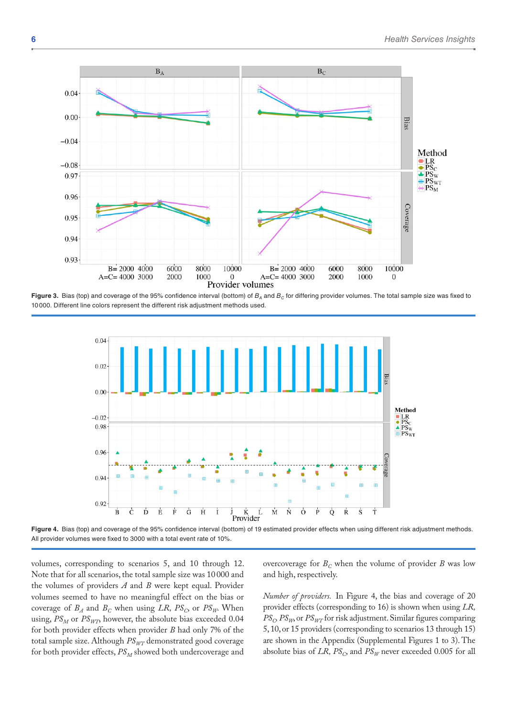

Figure 3. Bias (top) and coverage of the 95% confidence interval (bottom) of  $B_A$  and  $B_C$  for differing provider volumes. The total sample size was fixed to 10000. Different line colors represent the different risk adjustment methods used.



**Figure 4.** Bias (top) and coverage of the 95% confidence interval (bottom) of 19 estimated provider effects when using different risk adjustment methods. All provider volumes were fixed to 3000 with a total event rate of 10%.

volumes, corresponding to scenarios 5, and 10 through 12. Note that for all scenarios, the total sample size was 10 000 and the volumes of providers *A* and *B* were kept equal. Provider volumes seemed to have no meaningful effect on the bias or coverage of  $B_A$  and  $B_C$  when using *LR, PS<sub>C</sub>*, or  $PS_W$ . When using,  $PS_M$  or  $PS_{W7}$ , however, the absolute bias exceeded 0.04 for both provider effects when provider *B* had only 7% of the total sample size. Although  $PS_{WT}$  demonstrated good coverage for both provider effects,  $PS_M$  showed both undercoverage and

overcoverage for  $B_C$  when the volume of provider *B* was low and high, respectively.

*Number of providers.* In Figure 4, the bias and coverage of 20 provider effects (corresponding to 16) is shown when using *LR,*   $PS_{C}$  *PS<sub>W</sub>*, or *PS<sub>WT</sub>* for risk adjustment. Similar figures comparing 5, 10, or 15 providers (corresponding to scenarios 13 through 15) are shown in the Appendix (Supplemental Figures 1 to 3). The absolute bias of  $LR$ ,  $PS_C$ , and  $PS_W$  never exceeded 0.005 for all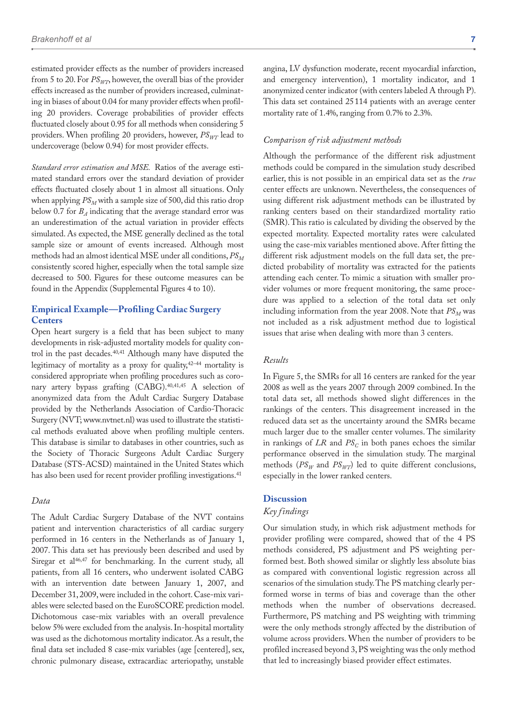estimated provider effects as the number of providers increased from 5 to 20. For  $PS_{W7}$ , however, the overall bias of the provider effects increased as the number of providers increased, culminating in biases of about 0.04 for many provider effects when profiling 20 providers. Coverage probabilities of provider effects fluctuated closely about 0.95 for all methods when considering 5 providers. When profiling 20 providers, however,  $PS_{WT}$  lead to undercoverage (below 0.94) for most provider effects.

*Standard error estimation and MSE.* Ratios of the average estimated standard errors over the standard deviation of provider effects fluctuated closely about 1 in almost all situations. Only when applying  $PS_M$  with a sample size of 500, did this ratio drop below 0.7 for  $B_A$  indicating that the average standard error was an underestimation of the actual variation in provider effects simulated. As expected, the MSE generally declined as the total sample size or amount of events increased. Although most methods had an almost identical MSE under all conditions,  $PS_M$ consistently scored higher, especially when the total sample size decreased to 500. Figures for these outcome measures can be found in the Appendix (Supplemental Figures 4 to 10).

## **Empirical Example—Profiling Cardiac Surgery Centers**

Open heart surgery is a field that has been subject to many developments in risk-adjusted mortality models for quality control in the past decades.<sup>40,41</sup> Although many have disputed the legitimacy of mortality as a proxy for quality,42–44 mortality is considered appropriate when profiling procedures such as coronary artery bypass grafting (CABG).40,41,45 A selection of anonymized data from the Adult Cardiac Surgery Database provided by the Netherlands Association of Cardio-Thoracic Surgery (NVT; www.nvtnet.nl) was used to illustrate the statistical methods evaluated above when profiling multiple centers. This database is similar to databases in other countries, such as the Society of Thoracic Surgeons Adult Cardiac Surgery Database (STS-ACSD) maintained in the United States which has also been used for recent provider profiling investigations.<sup>41</sup>

## *Data*

The Adult Cardiac Surgery Database of the NVT contains patient and intervention characteristics of all cardiac surgery performed in 16 centers in the Netherlands as of January 1, 2007. This data set has previously been described and used by Siregar et al<sup>46,47</sup> for benchmarking. In the current study, all patients, from all 16 centers, who underwent isolated CABG with an intervention date between January 1, 2007, and December 31, 2009, were included in the cohort. Case-mix variables were selected based on the EuroSCORE prediction model. Dichotomous case-mix variables with an overall prevalence below 5% were excluded from the analysis. In-hospital mortality was used as the dichotomous mortality indicator. As a result, the final data set included 8 case-mix variables (age [centered], sex, chronic pulmonary disease, extracardiac arteriopathy, unstable

angina, LV dysfunction moderate, recent myocardial infarction, and emergency intervention), 1 mortality indicator, and 1 anonymized center indicator (with centers labeled A through P). This data set contained 25114 patients with an average center mortality rate of 1.4%, ranging from 0.7% to 2.3%.

#### *Comparison of risk adjustment methods*

Although the performance of the different risk adjustment methods could be compared in the simulation study described earlier, this is not possible in an empirical data set as the *true* center effects are unknown. Nevertheless, the consequences of using different risk adjustment methods can be illustrated by ranking centers based on their standardized mortality ratio (SMR). This ratio is calculated by dividing the observed by the expected mortality. Expected mortality rates were calculated using the case-mix variables mentioned above. After fitting the different risk adjustment models on the full data set, the predicted probability of mortality was extracted for the patients attending each center. To mimic a situation with smaller provider volumes or more frequent monitoring, the same procedure was applied to a selection of the total data set only including information from the year 2008. Note that  $PS_M$  was not included as a risk adjustment method due to logistical issues that arise when dealing with more than 3 centers.

## *Results*

In Figure 5, the SMRs for all 16 centers are ranked for the year 2008 as well as the years 2007 through 2009 combined. In the total data set, all methods showed slight differences in the rankings of the centers. This disagreement increased in the reduced data set as the uncertainty around the SMRs became much larger due to the smaller center volumes. The similarity in rankings of  $LR$  and  $PS<sub>C</sub>$  in both panes echoes the similar performance observed in the simulation study. The marginal methods ( $PS_W$  and  $PS_{WT}$ ) led to quite different conclusions, especially in the lower ranked centers.

## **Discussion**

## *Key findings*

Our simulation study, in which risk adjustment methods for provider profiling were compared, showed that of the 4 PS methods considered, PS adjustment and PS weighting performed best. Both showed similar or slightly less absolute bias as compared with conventional logistic regression across all scenarios of the simulation study. The PS matching clearly performed worse in terms of bias and coverage than the other methods when the number of observations decreased. Furthermore, PS matching and PS weighting with trimming were the only methods strongly affected by the distribution of volume across providers. When the number of providers to be profiled increased beyond 3, PS weighting was the only method that led to increasingly biased provider effect estimates.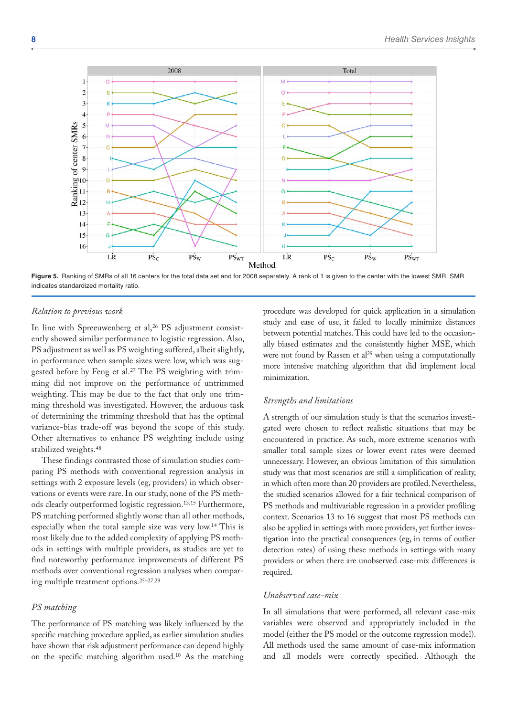

**Figure 5.** Ranking of SMRs of all 16 centers for the total data set and for 2008 separately. A rank of 1 is given to the center with the lowest SMR. SMR indicates standardized mortality ratio.

#### *Relation to previous work*

In line with Spreeuwenberg et al,<sup>26</sup> PS adjustment consistently showed similar performance to logistic regression. Also, PS adjustment as well as PS weighting suffered, albeit slightly, in performance when sample sizes were low, which was suggested before by Feng et al.27 The PS weighting with trimming did not improve on the performance of untrimmed weighting. This may be due to the fact that only one trimming threshold was investigated. However, the arduous task of determining the trimming threshold that has the optimal variance-bias trade-off was beyond the scope of this study. Other alternatives to enhance PS weighting include using stabilized weights.48

These findings contrasted those of simulation studies comparing PS methods with conventional regression analysis in settings with 2 exposure levels (eg, providers) in which observations or events were rare. In our study, none of the PS methods clearly outperformed logistic regression.13,15 Furthermore, PS matching performed slightly worse than all other methods, especially when the total sample size was very low.14 This is most likely due to the added complexity of applying PS methods in settings with multiple providers, as studies are yet to find noteworthy performance improvements of different PS methods over conventional regression analyses when comparing multiple treatment options.25–27,29

#### *PS matching*

The performance of PS matching was likely influenced by the specific matching procedure applied, as earlier simulation studies have shown that risk adjustment performance can depend highly on the specific matching algorithm used.10 As the matching procedure was developed for quick application in a simulation study and ease of use, it failed to locally minimize distances between potential matches. This could have led to the occasionally biased estimates and the consistently higher MSE, which were not found by Rassen et  $al^{29}$  when using a computationally more intensive matching algorithm that did implement local minimization.

#### *Strengths and limitations*

A strength of our simulation study is that the scenarios investigated were chosen to reflect realistic situations that may be encountered in practice. As such, more extreme scenarios with smaller total sample sizes or lower event rates were deemed unnecessary. However, an obvious limitation of this simulation study was that most scenarios are still a simplification of reality, in which often more than 20 providers are profiled. Nevertheless, the studied scenarios allowed for a fair technical comparison of PS methods and multivariable regression in a provider profiling context. Scenarios 13 to 16 suggest that most PS methods can also be applied in settings with more providers, yet further investigation into the practical consequences (eg, in terms of outlier detection rates) of using these methods in settings with many providers or when there are unobserved case-mix differences is required.

#### *Unobserved case-mix*

In all simulations that were performed, all relevant case-mix variables were observed and appropriately included in the model (either the PS model or the outcome regression model). All methods used the same amount of case-mix information and all models were correctly specified. Although the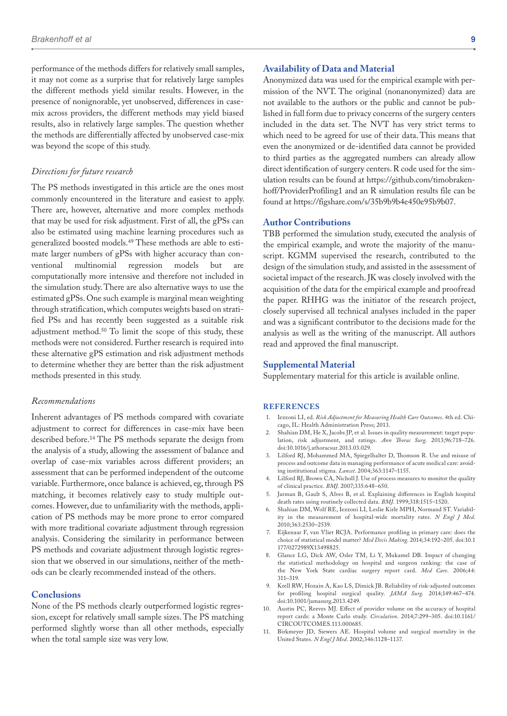performance of the methods differs for relatively small samples, it may not come as a surprise that for relatively large samples the different methods yield similar results. However, in the presence of nonignorable, yet unobserved, differences in casemix across providers, the different methods may yield biased results, also in relatively large samples. The question whether the methods are differentially affected by unobserved case-mix was beyond the scope of this study.

#### *Directions for future research*

The PS methods investigated in this article are the ones most commonly encountered in the literature and easiest to apply. There are, however, alternative and more complex methods that may be used for risk adjustment. First of all, the gPSs can also be estimated using machine learning procedures such as generalized boosted models.49 These methods are able to estimate larger numbers of gPSs with higher accuracy than conventional multinomial regression models but are ventional multinomial regression models but are computationally more intensive and therefore not included in the simulation study. There are also alternative ways to use the estimated gPSs. One such example is marginal mean weighting through stratification, which computes weights based on stratified PSs and has recently been suggested as a suitable risk adjustment method.50 To limit the scope of this study, these methods were not considered. Further research is required into these alternative gPS estimation and risk adjustment methods to determine whether they are better than the risk adjustment methods presented in this study.

#### *Recommendations*

Inherent advantages of PS methods compared with covariate adjustment to correct for differences in case-mix have been described before.14 The PS methods separate the design from the analysis of a study, allowing the assessment of balance and overlap of case-mix variables across different providers; an assessment that can be performed independent of the outcome variable. Furthermore, once balance is achieved, eg, through PS matching, it becomes relatively easy to study multiple outcomes. However, due to unfamiliarity with the methods, application of PS methods may be more prone to error compared with more traditional covariate adjustment through regression analysis. Considering the similarity in performance between PS methods and covariate adjustment through logistic regression that we observed in our simulations, neither of the methods can be clearly recommended instead of the others.

#### **Conclusions**

None of the PS methods clearly outperformed logistic regression, except for relatively small sample sizes. The PS matching performed slightly worse than all other methods, especially when the total sample size was very low.

## **Availability of Data and Material**

Anonymized data was used for the empirical example with permission of the NVT. The original (nonanonymized) data are not available to the authors or the public and cannot be published in full form due to privacy concerns of the surgery centers included in the data set. The NVT has very strict terms to which need to be agreed for use of their data. This means that even the anonymized or de-identified data cannot be provided to third parties as the aggregated numbers can already allow direct identification of surgery centers. R code used for the simulation results can be found at https://github.com/timobrakenhoff/ProviderProfiling1 and an R simulation results file can be found at https://figshare.com/s/35b9b9b4e450e95b9b07.

## **Author Contributions**

TBB performed the simulation study, executed the analysis of the empirical example, and wrote the majority of the manuscript. KGMM supervised the research, contributed to the design of the simulation study, and assisted in the assessment of societal impact of the research. JK was closely involved with the acquisition of the data for the empirical example and proofread the paper. RHHG was the initiator of the research project, closely supervised all technical analyses included in the paper and was a significant contributor to the decisions made for the analysis as well as the writing of the manuscript. All authors read and approved the final manuscript.

#### **Supplemental Material**

Supplementary material for this article is available online.

#### **References**

- 1. Iezzoni LI, ed. *Risk Adjustment for Measuring Health Care Outcomes*. 4th ed. Chicago, IL: Health Administration Press; 2013.
- 2. Shahian DM, He X, Jacobs JP, et al. Issues in quality measurement: target population, risk adjustment, and ratings. *Ann Thorac Surg*. 2013;96:718–726. doi:10.1016/j.athoracsur.2013.03.029.
- 3. Lilford RJ, Mohammed MA, Spiegelhalter D, Thomson R. Use and misuse of process and outcome data in managing performance of acute medical care: avoiding institutional stigma. *Lancet*. 2004;363:1147–1155.
- 4. Lilford RJ, Brown CA, Nicholl J. Use of process measures to monitor the quality of clinical practice. *BMJ*. 2007;335:648–650.
- 5. Jarman B, Gault S, Alves B, et al. Explaining differences in English hospital death rates using routinely collected data. *BMJ*. 1999;318:1515–1520.
- 6. Shahian DM, Wolf RE, Iezzoni LI, Leslie Kirle MPH, Normand ST. Variability in the measurement of hospital-wide mortality rates. *N Engl J Med*. 2010;363:2530–2539.
- 7. Eijkenaar F, van Vliet RCJA. Performance profiling in primary care: does the choice of statistical model matter? *Med Decis Making*. 2014;34:192–205. doi:10.1 177/0272989X13498825.
- 8. Glance LG, Dick AW, Osler TM, Li Y, Mukamel DB. Impact of changing the statistical methodology on hospital and surgeon ranking: the case of the New York State cardiac surgery report card. *Med Care*. 2006;44: 311–319.
- 9. Krell RW, Hozain A, Kao LS, Dimick JB. Reliability of risk-adjusted outcomes for profiling hospital surgical quality. *JAMA Surg*. 2014;149:467–474. doi:10.1001/jamasurg.2013.4249.
- 10. Austin PC, Reeves MJ. Effect of provider volume on the accuracy of hospital report cards: a Monte Carlo study. *Circulation*. 2014;7:299–305. doi:10.1161/ CIRCOUTCOMES.113.000685.
- 11. Birkmeyer JD, Siewers AE. Hospital volume and surgical mortality in the United States. *N Engl J Med*. 2002;346:1128–1137.